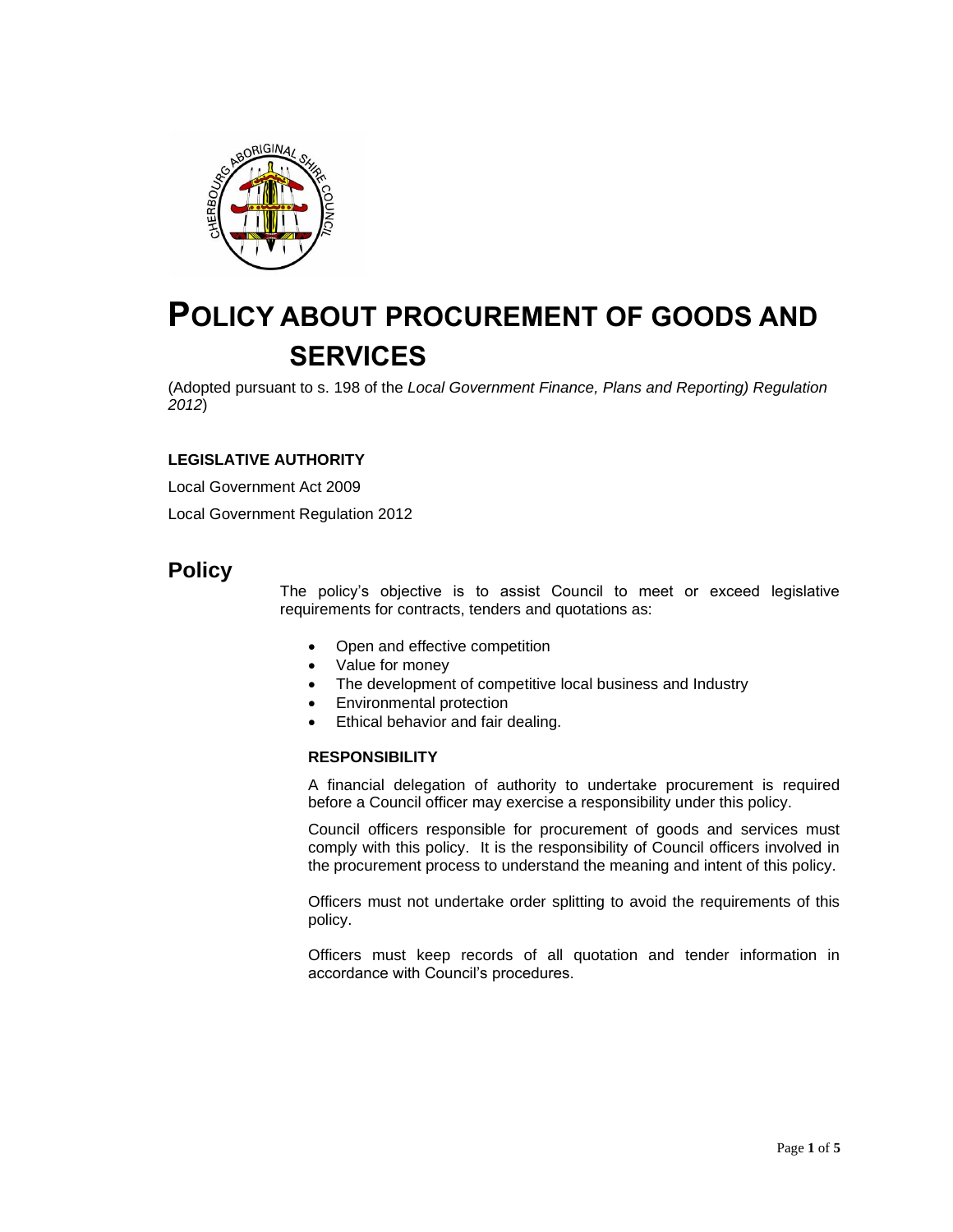

# **POLICY ABOUT PROCUREMENT OF GOODS AND SERVICES**

(Adopted pursuant to s. 198 of the *Local Government Finance, Plans and Reporting) Regulation 2012*)

# **LEGISLATIVE AUTHORITY**

Local Government Act 2009

Local Government Regulation 2012

# **Policy**

The policy's objective is to assist Council to meet or exceed legislative requirements for contracts, tenders and quotations as:

- Open and effective competition
- Value for money
- The development of competitive local business and Industry
- Environmental protection
- Ethical behavior and fair dealing.

#### **RESPONSIBILITY**

A financial delegation of authority to undertake procurement is required before a Council officer may exercise a responsibility under this policy.

Council officers responsible for procurement of goods and services must comply with this policy. It is the responsibility of Council officers involved in the procurement process to understand the meaning and intent of this policy.

Officers must not undertake order splitting to avoid the requirements of this policy.

Officers must keep records of all quotation and tender information in accordance with Council's procedures.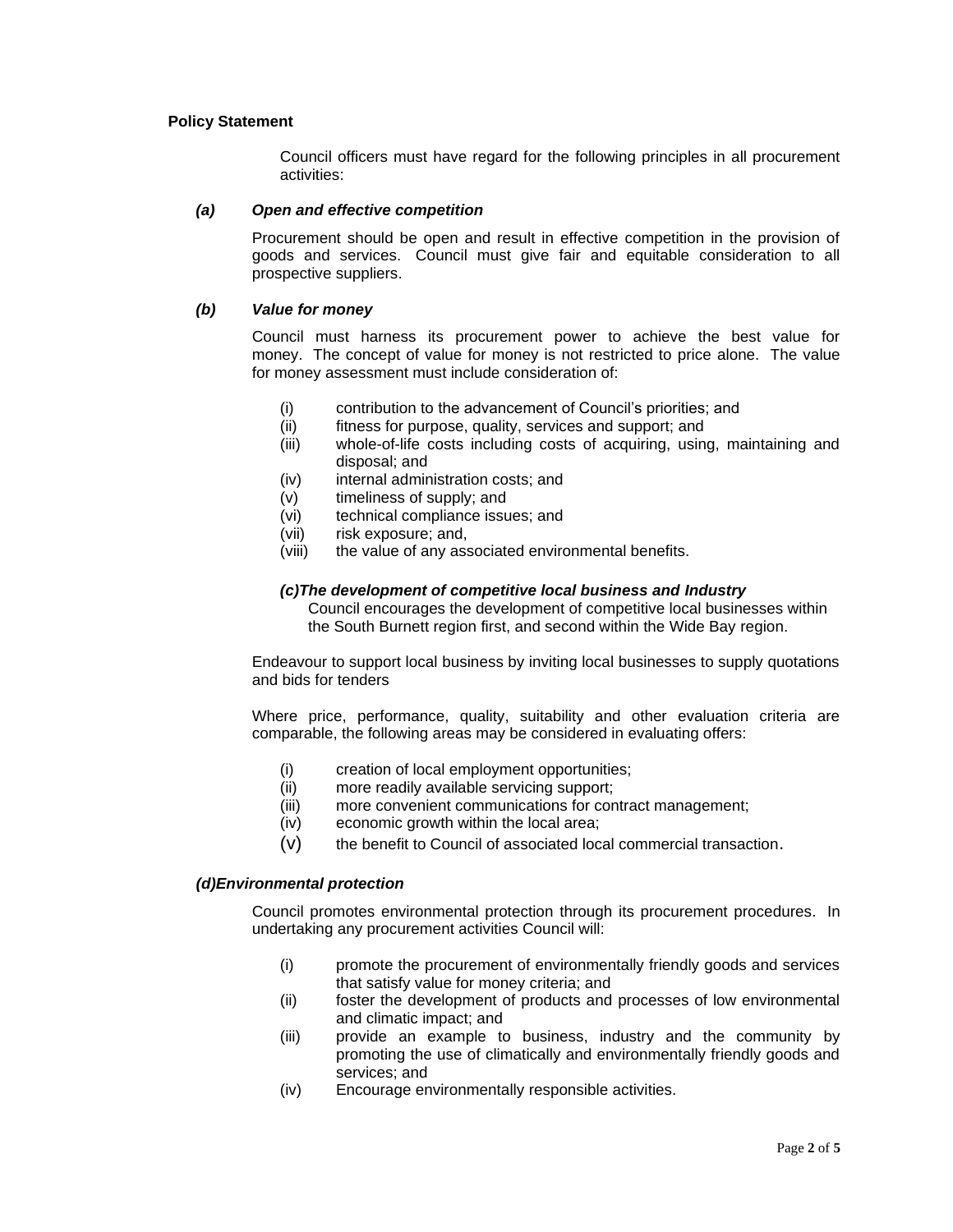#### **Policy Statement**

Council officers must have regard for the following principles in all procurement activities:

#### *(a) Open and effective competition*

Procurement should be open and result in effective competition in the provision of goods and services. Council must give fair and equitable consideration to all prospective suppliers.

#### *(b) Value for money*

Council must harness its procurement power to achieve the best value for money. The concept of value for money is not restricted to price alone. The value for money assessment must include consideration of:

- (i) contribution to the advancement of Council's priorities; and
- (ii) fitness for purpose, quality, services and support; and
- (iii) whole-of-life costs including costs of acquiring, using, maintaining and disposal; and
- (iv) internal administration costs; and
- (v) timeliness of supply; and
- (vi) technical compliance issues; and
- (vii) risk exposure; and,
- (viii) the value of any associated environmental benefits.

#### *(c)The development of competitive local business and Industry*

Council encourages the development of competitive local businesses within the South Burnett region first, and second within the Wide Bay region.

Endeavour to support local business by inviting local businesses to supply quotations and bids for tenders

Where price, performance, quality, suitability and other evaluation criteria are comparable, the following areas may be considered in evaluating offers:

- (i) creation of local employment opportunities;
- (ii) more readily available servicing support;
- (iii) more convenient communications for contract management;
- (iv) economic growth within the local area;
- (v) the benefit to Council of associated local commercial transaction.

#### *(d)Environmental protection*

Council promotes environmental protection through its procurement procedures. In undertaking any procurement activities Council will:

- (i) promote the procurement of environmentally friendly goods and services that satisfy value for money criteria; and
- (ii) foster the development of products and processes of low environmental and climatic impact; and
- (iii) provide an example to business, industry and the community by promoting the use of climatically and environmentally friendly goods and services; and
- (iv) Encourage environmentally responsible activities.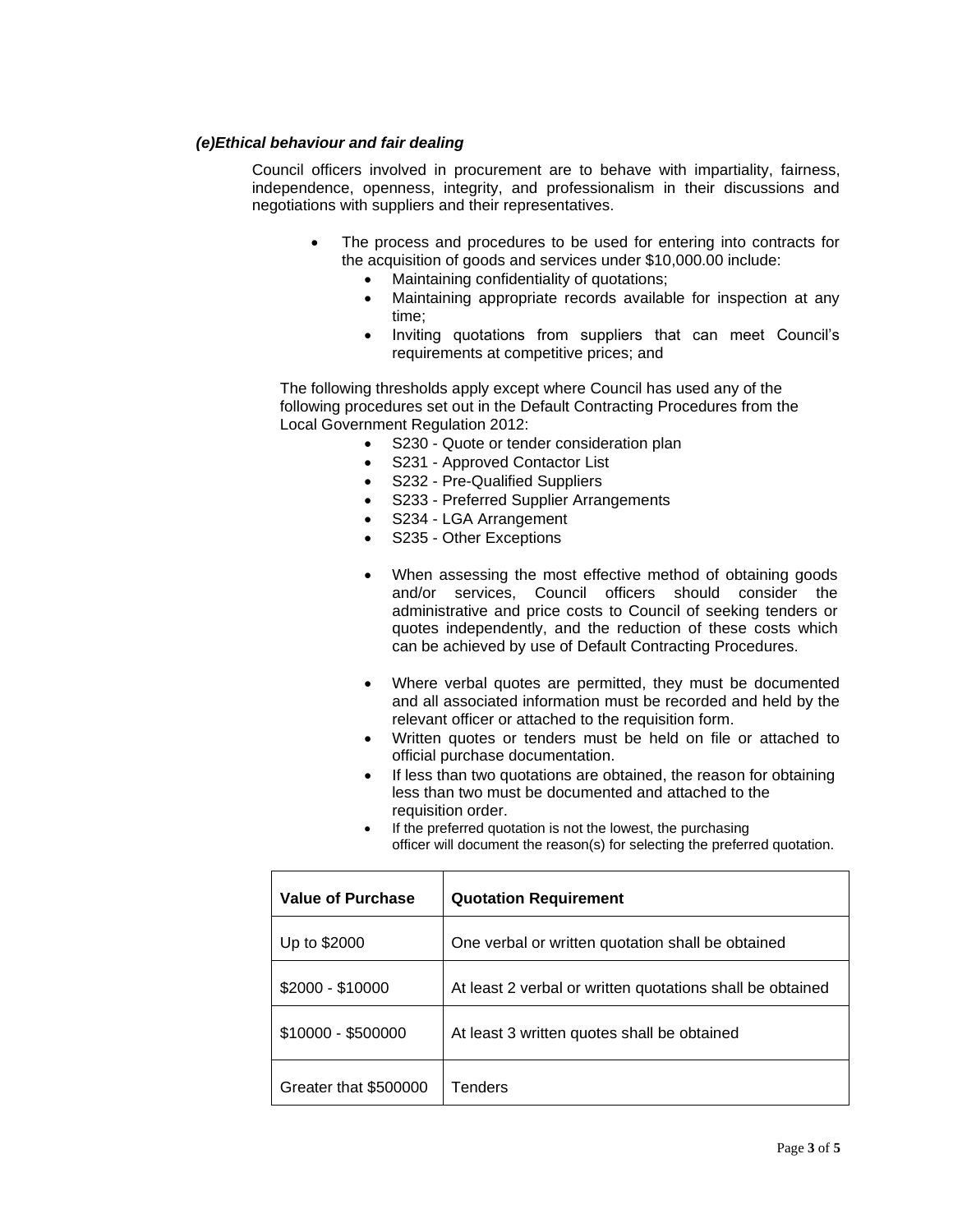#### *(e)Ethical behaviour and fair dealing*

Council officers involved in procurement are to behave with impartiality, fairness, independence, openness, integrity, and professionalism in their discussions and negotiations with suppliers and their representatives.

- The process and procedures to be used for entering into contracts for the acquisition of goods and services under \$10,000.00 include:
	- Maintaining confidentiality of quotations;
	- Maintaining appropriate records available for inspection at any time;
	- Inviting quotations from suppliers that can meet Council's requirements at competitive prices; and

The following thresholds apply except where Council has used any of the following procedures set out in the Default Contracting Procedures from the Local Government Regulation 2012:

- S230 Quote or tender consideration plan
- S231 Approved Contactor List
- S232 Pre-Qualified Suppliers
- S233 Preferred Supplier Arrangements
- S234 LGA Arrangement
- S235 Other Exceptions
- When assessing the most effective method of obtaining goods and/or services, Council officers should consider the administrative and price costs to Council of seeking tenders or quotes independently, and the reduction of these costs which can be achieved by use of Default Contracting Procedures.
- Where verbal quotes are permitted, they must be documented and all associated information must be recorded and held by the relevant officer or attached to the requisition form.
- Written quotes or tenders must be held on file or attached to official purchase documentation.
- If less than two quotations are obtained, the reason for obtaining less than two must be documented and attached to the requisition order.
- If the preferred quotation is not the lowest, the purchasing officer will document the reason(s) for selecting the preferred quotation.

| <b>Value of Purchase</b> | <b>Quotation Requirement</b>                              |
|--------------------------|-----------------------------------------------------------|
| Up to \$2000             | One verbal or written quotation shall be obtained         |
| $$2000 - $10000$         | At least 2 verbal or written quotations shall be obtained |
| \$10000 - \$500000       | At least 3 written quotes shall be obtained               |
| Greater that \$500000    | Tenders                                                   |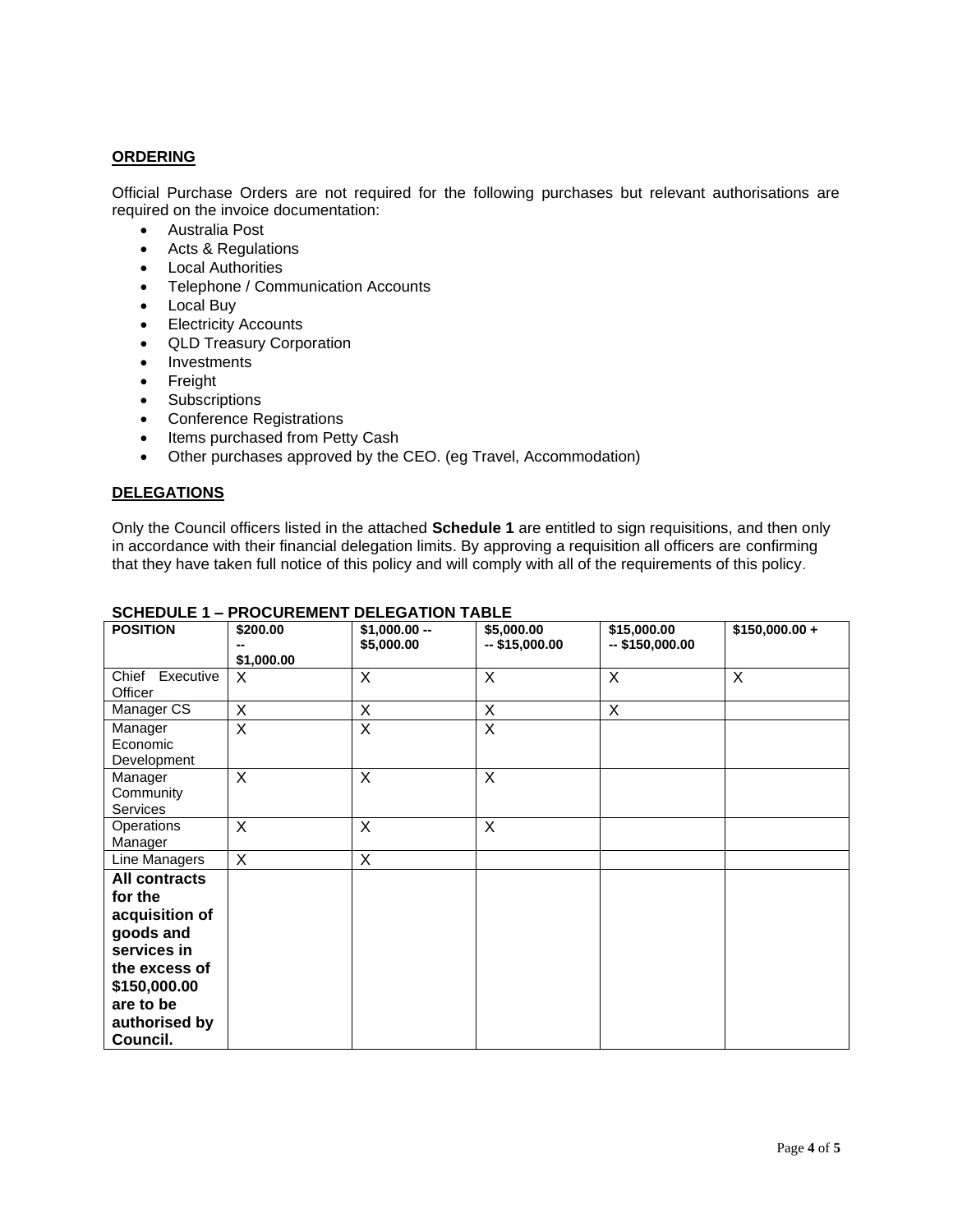### **ORDERING**

Official Purchase Orders are not required for the following purchases but relevant authorisations are required on the invoice documentation:

- Australia Post
- Acts & Regulations
- Local Authorities
- Telephone / Communication Accounts
- Local Buy
- Electricity Accounts
- QLD Treasury Corporation
- Investments
- Freight
- Subscriptions
- Conference Registrations
- Items purchased from Petty Cash
- Other purchases approved by the CEO. (eg Travel, Accommodation)

#### **DELEGATIONS**

Only the Council officers listed in the attached **Schedule 1** are entitled to sign requisitions, and then only in accordance with their financial delegation limits. By approving a requisition all officers are confirming that they have taken full notice of this policy and will comply with all of the requirements of this policy.

| <b>POSITION</b>                                                                                                                                   | \$200.00<br>\$1,000.00  | $$1,000.00 -$<br>\$5,000.00 | \$5,000.00<br>$-$ \$15,000.00 | \$15,000.00<br>$-$ \$150,000.00 | $$150,000.00 +$ |
|---------------------------------------------------------------------------------------------------------------------------------------------------|-------------------------|-----------------------------|-------------------------------|---------------------------------|-----------------|
| Chief Executive<br>Officer                                                                                                                        | X                       | X                           | X                             | X                               | X               |
| Manager CS                                                                                                                                        | X                       | X                           | X                             | X                               |                 |
| Manager<br>Economic<br>Development                                                                                                                | $\overline{\mathsf{x}}$ | X                           | X                             |                                 |                 |
| Manager<br>Community<br><b>Services</b>                                                                                                           | X                       | X                           | X                             |                                 |                 |
| Operations<br>Manager                                                                                                                             | $\sf X$                 | $\overline{\mathsf{x}}$     | X                             |                                 |                 |
| Line Managers                                                                                                                                     | X                       | X                           |                               |                                 |                 |
| All contracts<br>for the<br>acquisition of<br>goods and<br>services in<br>the excess of<br>\$150,000.00<br>are to be<br>authorised by<br>Council. |                         |                             |                               |                                 |                 |

## **SCHEDULE 1 – PROCUREMENT DELEGATION TABLE**